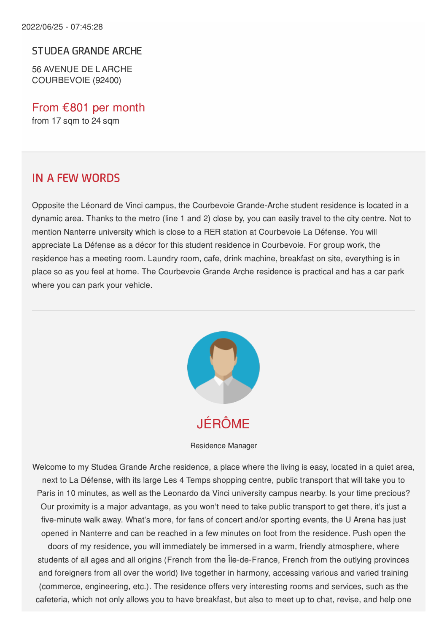#### STUDEA GRANDE ARCHE

56 AVENUE DE L ARCHE COURBEVOIE (92400)

From €801 per month from 17 sqm to 24 sqm

#### IN A FEW WORDS

Opposite the Léonard de Vinci campus, the Courbevoie Grande-Arche student residence is located in a dynamic area. Thanks to the metro (line 1 and 2) close by, you can easily travel to the city centre. Not to mention Nanterre university which is close to a RER station at Courbevoie La Défense. You will appreciate La Défense as a décor for this student residence in Courbevoie. For group work, the residence has a meeting room. Laundry room, cafe, drink machine, breakfast on site, everything is in place so as you feel at home. The Courbevoie Grande Arche residence is practical and has a car park where you can park your vehicle.



Residence Manager

Welcome to my Studea Grande Arche residence, a place where the living is easy, located in a quiet area, next to La Défense, with its large Les 4 Temps shopping centre, public transport that will take you to Paris in 10 minutes, as well as the Leonardo da Vinci university campus nearby. Is your time precious? Our proximity is a major advantage, as you won't need to take public transport to get there, it's just a five-minute walk away. What's more, for fans of concert and/or sporting events, the U Arena has just opened in Nanterre and can be reached in a few minutes on foot from the residence. Push open the doors of my residence, you will immediately be immersed in a warm, friendly atmosphere, where students of all ages and all origins (French from the Île-de-France, French from the outlying provinces and foreigners from all over the world) live together in harmony, accessing various and varied training (commerce, engineering, etc.). The residence offers very interesting rooms and services, such as the cafeteria, which not only allows you to have breakfast, but also to meet up to chat, revise, and help one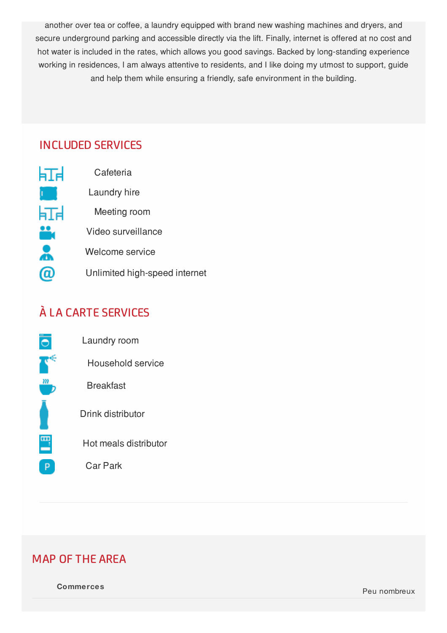another over tea or coffee, a laundry equipped with brand new washing machines and dryers, and secure underground parking and accessible directly via the lift. Finally, internet is offered at no cost and hot water is included in the rates, which allows you good savings. Backed by long-standing experience working in residences, I am always attentive to residents, and I like doing my utmost to support, guide and help them while ensuring a friendly, safe environment in the building.

### INCLUDED SERVICES

| 肛 | Cafeteria                     |
|---|-------------------------------|
| h | Laundry hire                  |
| 亚 | Meeting room                  |
|   | Video surveillance            |
|   | Welcome service               |
|   | Unlimited high-speed internet |

# À LA CARTE SERVICES



Laundry room Household service **Breakfast** Drink distributor Hot meals distributor Car Park

## MAP OF THE AREA

**Commerces** Peu nombreux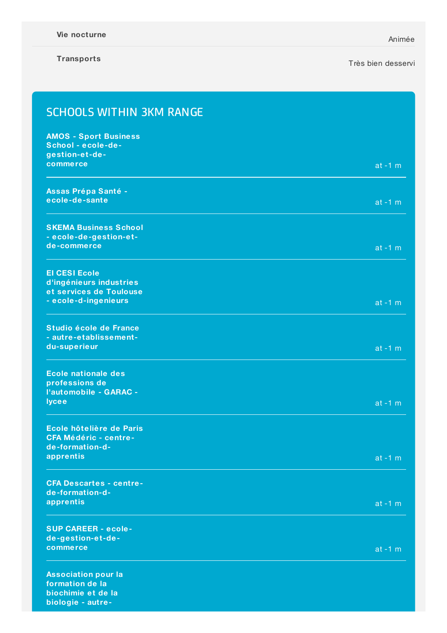#### **Transports**

#### Très bien desservi

| <b>SCHOOLS WITHIN 3KM RANGE</b>                 |           |
|-------------------------------------------------|-----------|
| <b>AMOS - Sport Business</b>                    |           |
| School - ecole-de-                              |           |
| gestion-et-de-                                  |           |
| commerce                                        | $at -1 m$ |
| Assas Prépa Santé -                             |           |
| ecole-de-sante                                  | $at -1 m$ |
| <b>SKEMA Business School</b>                    |           |
| - ecole-de-gestion-et-                          |           |
| de-commerce                                     | $at -1 m$ |
| <b>El CESI Ecole</b>                            |           |
| d'ingénieurs industries                         |           |
| et services de Toulouse<br>- ecole-d-ingenieurs | $at -1 m$ |
|                                                 |           |
| Studio école de France                          |           |
| - autre-etablissement-                          |           |
| du-superieur                                    | $at -1 m$ |
| <b>Ecole nationale des</b>                      |           |
| professions de<br>l'automobile - GARAC -        |           |
| <b>lycee</b>                                    | $at -1 m$ |
|                                                 |           |
| Ecole hôtelière de Paris                        |           |
| <b>CFA Médéric - centre-</b>                    |           |
| de-formation-d-<br>apprentis                    | $at -1 m$ |
|                                                 |           |
| <b>CFA Descartes - centre-</b>                  |           |
| de-formation-d-<br>apprentis                    |           |
|                                                 | $at -1 m$ |
| <b>SUP CAREER - ecole-</b>                      |           |
| de-gestion-et-de-<br>commerce                   |           |
|                                                 | $at -1 m$ |
| <b>Association pour la</b>                      |           |
| formation de la<br>biochimie et de la           |           |
| biologie - autre-                               |           |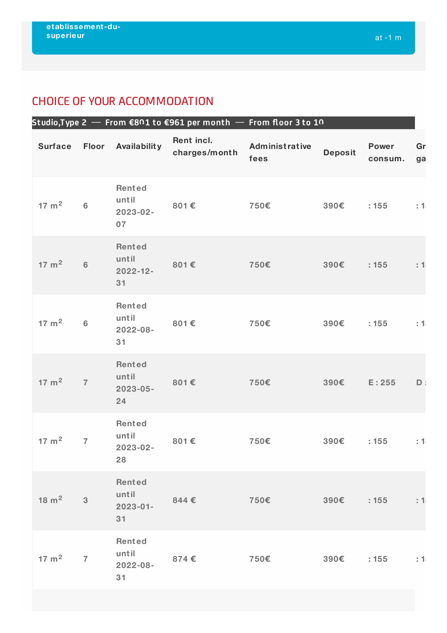### CHOICE OF YOUR ACCOMMODATION

|  |                  |                |                                          |                             | Studio,Type 2 $-$ From €801 to €961 per month $-$ From floor 3 to 10 |                |                         |          |
|--|------------------|----------------|------------------------------------------|-----------------------------|----------------------------------------------------------------------|----------------|-------------------------|----------|
|  | <b>Surface</b>   | Floor          | Availability                             | Rent incl.<br>charges/month | Administrative<br>fees                                               | <b>Deposit</b> | <b>Power</b><br>consum. | Gr<br>ga |
|  | $17 \text{ m}^2$ | $\bf 6$        | Rented<br>until<br>2023-02-<br>07        | 801€                        | 750€                                                                 | 390€           | : 155                   | : 1      |
|  | $17 \text{ m}^2$ | $6\phantom{a}$ | Rented<br>until<br>$2022 - 12 -$<br>31   | 801€                        | 750€                                                                 | 390€           | : 155                   | : 1      |
|  | $17 \text{ m}^2$ | $\bf 6$        | <b>Rented</b><br>until<br>2022-08-<br>31 | 801€                        | 750€                                                                 | 390€           | : 155                   | : 1      |
|  | $17 \text{ m}^2$ | $\overline{7}$ | Rented<br>until<br>$2023 - 05 -$<br>24   | 801€                        | 750€                                                                 | 390€           | E: 255                  | D        |
|  | $17 \text{ m}^2$ | $\overline{7}$ | Rented<br>until<br>2023-02-<br>28        | 801€                        | 750€                                                                 | 390€           | : 155                   | : 1      |
|  | $18 \text{ m}^2$ | $\mathbf{3}$   | Rented<br>until<br>$2023 - 01 -$<br>31   | 844€                        | 750€                                                                 | 390€           | : 155                   | : 1      |
|  | $17 \text{ m}^2$ | $\overline{7}$ | Rented<br>until<br>$2022 - 08 -$<br>31   | 874€                        | 750€                                                                 | 390€ : 155     |                         | : 1      |
|  |                  |                |                                          |                             |                                                                      |                |                         |          |